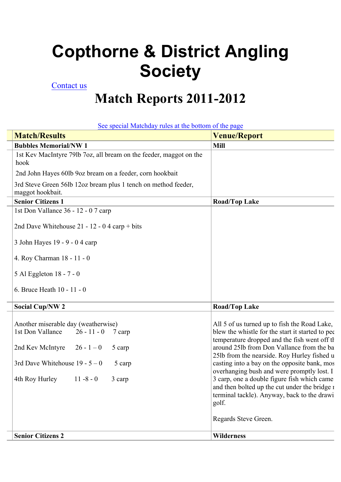## **Copthorne & District Angling Society**

## Contact us

## **Match Reports 2011-2012**

See special Matchday rules at the bottom of the page

| <b>Match/Results</b>                                                               | <b>Venue/Report</b>                                                                                                                                  |
|------------------------------------------------------------------------------------|------------------------------------------------------------------------------------------------------------------------------------------------------|
| <b>Bubbles Memorial/NW 1</b>                                                       | <b>Mill</b>                                                                                                                                          |
| 1st Kev MacIntyre 79lb 7oz, all bream on the feeder, maggot on the<br>hook         |                                                                                                                                                      |
| 2nd John Hayes 60lb 9oz bream on a feeder, corn hookbait                           |                                                                                                                                                      |
| 3rd Steve Green 56lb 12oz bream plus 1 tench on method feeder,<br>maggot hookbait. |                                                                                                                                                      |
| <b>Senior Citizens 1</b>                                                           | <b>Road/Top Lake</b>                                                                                                                                 |
| 1st Don Vallance 36 - 12 - 07 carp                                                 |                                                                                                                                                      |
| 2nd Dave Whitehouse $21 - 12 - 04$ carp + bits                                     |                                                                                                                                                      |
| 3 John Hayes 19 - 9 - 0 4 carp                                                     |                                                                                                                                                      |
| 4. Roy Charman 18 - 11 - 0                                                         |                                                                                                                                                      |
| 5 Al Eggleton 18 - 7 - 0                                                           |                                                                                                                                                      |
| 6. Bruce Heath 10 - 11 - 0                                                         |                                                                                                                                                      |
| <b>Social Cup/NW 2</b>                                                             | <b>Road/Top Lake</b>                                                                                                                                 |
| Another miserable day (weatherwise)<br>1st Don Vallance<br>$26 - 11 - 0$ 7 carp    | All 5 of us turned up to fish the Road Lake,<br>blew the whistle for the start it started to per<br>temperature dropped and the fish went off the    |
| 2nd Kev McIntyre<br>$26 - 1 - 0$<br>5 carp                                         | around 251b from Don Vallance from the ba<br>25lb from the nearside. Roy Hurley fished u                                                             |
| 3rd Dave Whitehouse $19 - 5 - 0$<br>5 carp                                         | casting into a bay on the opposite bank, mos<br>overhanging bush and were promptly lost. I                                                           |
| 4th Roy Hurley<br>$11 - 8 - 0$<br>3 carp                                           | 3 carp, one a double figure fish which came<br>and then bolted up the cut under the bridge 1<br>terminal tackle). Anyway, back to the drawi<br>golf. |
|                                                                                    | Regards Steve Green.                                                                                                                                 |
| <b>Senior Citizens 2</b>                                                           | <b>Wilderness</b>                                                                                                                                    |
|                                                                                    |                                                                                                                                                      |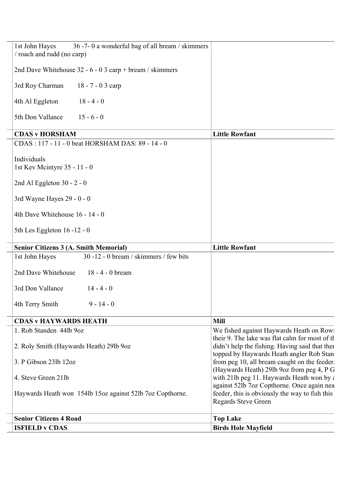| 36 -7-0 a wonderful bag of all bream / skimmers<br>1st John Hayes<br>/ roach and rudd (no carp) |                                                                                                                                               |
|-------------------------------------------------------------------------------------------------|-----------------------------------------------------------------------------------------------------------------------------------------------|
| 2nd Dave Whitehouse 32 - 6 - 0 3 carp + bream / skimmers                                        |                                                                                                                                               |
| 3rd Roy Charman<br>$18 - 7 - 03$ carp                                                           |                                                                                                                                               |
| 4th Al Eggleton<br>$18 - 4 - 0$                                                                 |                                                                                                                                               |
| 5th Don Vallance<br>$15 - 6 - 0$                                                                |                                                                                                                                               |
| <b>CDAS v HORSHAM</b>                                                                           | <b>Little Rowfant</b>                                                                                                                         |
| CDAS: 117 - 11 - 0 beat HORSHAM DAS: 89 - 14 - 0                                                |                                                                                                                                               |
| Individuals<br>1st Kev Mcintyre 35 - 11 - 0                                                     |                                                                                                                                               |
| 2nd Al Eggleton 30 - $2 - 0$                                                                    |                                                                                                                                               |
| 3rd Wayne Hayes 29 - 0 - 0                                                                      |                                                                                                                                               |
| 4th Dave Whitehouse 16 - 14 - 0                                                                 |                                                                                                                                               |
| 5th Les Eggleton $16 - 12 - 0$                                                                  |                                                                                                                                               |
| <b>Senior Citizens 3 (A. Smith Memorial)</b>                                                    | <b>Little Rowfant</b>                                                                                                                         |
| 30 -12 - 0 bream / skimmers / few bits<br>1st John Hayes                                        |                                                                                                                                               |
| 2nd Dave Whitehouse<br>18 - 4 - 0 bream                                                         |                                                                                                                                               |
| 3rd Don Vallance<br>$14 - 4 - 0$                                                                |                                                                                                                                               |
| 4th Terry Smith<br>$9 - 14 - 0$                                                                 |                                                                                                                                               |
| <b>CDAS v HAYWARDS HEATH</b>                                                                    | <b>Mill</b>                                                                                                                                   |
| 1. Rob Standen 44lb 9oz                                                                         | We fished against Haywards Heath on Row!                                                                                                      |
| 2. Roly Smith (Haywards Heath) 29lb 9oz                                                         | their 9. The lake was flat calm for most of the<br>didn't help the fishing. Having said that then<br>topped by Haywards Heath angler Rob Stan |
| 3. P Gibson 23lb 12oz                                                                           | from peg 10, all bream caught on the feeder.                                                                                                  |
| 4. Steve Green 21lb                                                                             | (Haywards Heath) 29lb 9oz from peg 4, P G<br>with 21lb peg 11. Haywards Heath won by a                                                        |
| Haywards Heath won 154lb 15oz against 52lb 7oz Copthorne.                                       | against 52lb 7oz Copthorne. Once again nea<br>feeder, this is obviously the way to fish this<br>Regards Steve Green                           |
| <b>Senior Citizens 4 Road</b>                                                                   | <b>Top Lake</b>                                                                                                                               |
| <b>ISFIELD v CDAS</b>                                                                           | <b>Birds Hole Mayfield</b>                                                                                                                    |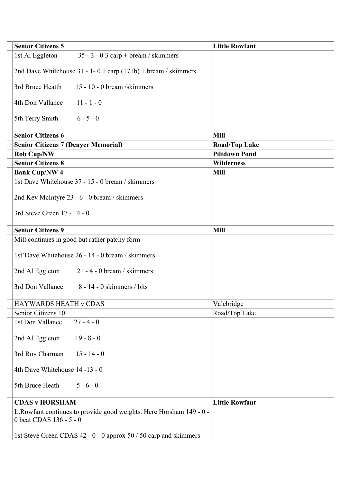| <b>Senior Citizens 5</b>                                                                       | <b>Little Rowfant</b> |
|------------------------------------------------------------------------------------------------|-----------------------|
| $35 - 3 - 03$ carp + bream / skimmers<br>1st Al Eggleton                                       |                       |
| 2nd Dave Whitehouse $31 - 1 - 01$ carp $(17 lb) + \text{beam}$ / skimmers                      |                       |
| 3rd Bruce Heatth<br>15 - 10 - 0 bream /skimmers                                                |                       |
| $11 - 1 - 0$<br>4th Don Vallance                                                               |                       |
| 5th Terry Smith<br>$6 - 5 - 0$                                                                 |                       |
| <b>Senior Citizens 6</b>                                                                       | <b>Mill</b>           |
| <b>Senior Citizens 7 (Denyer Memorial)</b>                                                     | <b>Road/Top Lake</b>  |
| <b>Rob Cup/NW</b>                                                                              | <b>Piltdown Pond</b>  |
| <b>Senior Citizens 8</b>                                                                       | <b>Wilderness</b>     |
| <b>Bank Cup/NW 4</b>                                                                           | <b>Mill</b>           |
| 1st Dave Whitehouse 37 - 15 - 0 bream / skimmers                                               |                       |
| 2nd Kev McIntyre 23 - 6 - 0 bream / skimmers                                                   |                       |
| 3rd Steve Green 17 - 14 - 0                                                                    |                       |
| <b>Senior Citizens 9</b>                                                                       | <b>Mill</b>           |
| Mill continues in good but rather patchy form                                                  |                       |
| 1st Dave Whitehouse 26 - 14 - 0 bream / skimmers                                               |                       |
| $21 - 4 - 0$ bream / skimmers<br>2nd Al Eggleton                                               |                       |
| 3rd Don Vallance<br>$8 - 14 - 0$ skimmers / bits                                               |                       |
| HAYWARDS HEATH v CDAS                                                                          | Valebridge            |
| Senior Citizens 10                                                                             | Road/Top Lake         |
| $27 - 4 - 0$<br>1st Don Vallance                                                               |                       |
| 2nd Al Eggleton<br>$19 - 8 - 0$                                                                |                       |
| 3rd Roy Charman<br>$15 - 14 - 0$                                                               |                       |
| 4th Dave Whitehouse 14 -13 - 0                                                                 |                       |
| 5th Bruce Heath<br>$5 - 6 - 0$                                                                 |                       |
| <b>CDAS v HORSHAM</b>                                                                          | <b>Little Rowfant</b> |
| L.Rowfant continues to provide good weights. Here Horsham 149 - 0 -<br>0 beat CDAS 136 - 5 - 0 |                       |
| 1st Steve Green CDAS 42 - 0 - 0 approx 50 / 50 carp and skimmers                               |                       |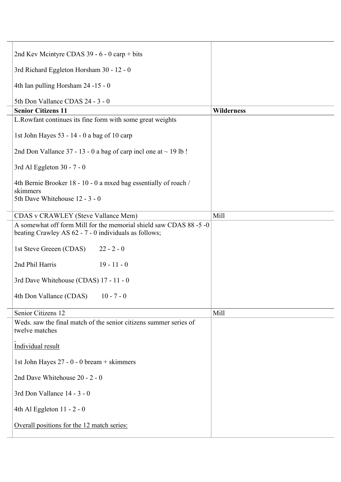| 2nd Kev Mcintyre CDAS 39 - 6 - 0 carp + bits                                                                                |                   |
|-----------------------------------------------------------------------------------------------------------------------------|-------------------|
| 3rd Richard Eggleton Horsham 30 - 12 - 0                                                                                    |                   |
| 4th Ian pulling Horsham 24 -15 - 0                                                                                          |                   |
| 5th Don Vallance CDAS 24 - 3 - 0                                                                                            |                   |
| <b>Senior Citizens 11</b>                                                                                                   | <b>Wilderness</b> |
| L.Rowfant continues its fine form with some great weights                                                                   |                   |
| 1st John Hayes 53 - 14 - 0 a bag of 10 carp                                                                                 |                   |
| 2nd Don Vallance 37 - 13 - 0 a bag of carp incl one at $\sim$ 19 lb !                                                       |                   |
| 3rd Al Eggleton 30 - 7 - 0                                                                                                  |                   |
| 4th Bernie Brooker 18 - 10 - 0 a mxed bag essentially of roach /<br>skimmers                                                |                   |
| 5th Dave Whitehouse 12 - 3 - 0                                                                                              |                   |
| <b>CDAS</b> v CRAWLEY (Steve Vallance Mem)                                                                                  | Mill              |
| A somewhat off form Mill for the memorial shield saw CDAS 88 -5 -0<br>beating Crawley AS 62 - 7 - 0 individuals as follows; |                   |
| 1st Steve Greeen (CDAS)<br>$22 - 2 - 0$                                                                                     |                   |
| 2nd Phil Harris<br>$19 - 11 - 0$                                                                                            |                   |
| 3rd Dave Whitehouse (CDAS) 17 - 11 - 0                                                                                      |                   |
| 4th Don Vallance (CDAS)<br>$10 - 7 - 0$                                                                                     |                   |
| Senior Citizens 12                                                                                                          | Mill              |
| Weds. saw the final match of the senior citizens summer series of<br>twelve matches                                         |                   |
| Individual result                                                                                                           |                   |
| 1st John Hayes 27 - 0 - 0 bream + skimmers                                                                                  |                   |
| 2nd Dave Whitehouse 20 - 2 - 0                                                                                              |                   |
| 3rd Don Vallance 14 - 3 - 0                                                                                                 |                   |
| 4th Al Eggleton $11 - 2 - 0$                                                                                                |                   |
| Overall positions for the 12 match series:                                                                                  |                   |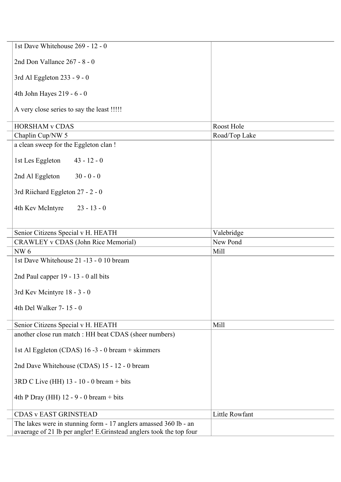| 1st Dave Whitehouse 269 - 12 - 0                                    |                |
|---------------------------------------------------------------------|----------------|
| 2nd Don Vallance 267 - 8 - 0                                        |                |
| 3rd Al Eggleton 233 - 9 - 0                                         |                |
| 4th John Hayes 219 - 6 - 0                                          |                |
| A very close series to say the least !!!!!                          |                |
| <b>HORSHAM v CDAS</b>                                               | Roost Hole     |
| Chaplin Cup/NW 5                                                    | Road/Top Lake  |
| a clean sweep for the Eggleton clan !                               |                |
| 1st Les Eggleton<br>$43 - 12 - 0$                                   |                |
| 2nd Al Eggleton<br>$30 - 0 - 0$                                     |                |
| 3rd Riichard Eggleton 27 - 2 - 0                                    |                |
| 4th Kev McIntyre<br>$23 - 13 - 0$                                   |                |
| Senior Citizens Special v H. HEATH                                  | Valebridge     |
| CRAWLEY v CDAS (John Rice Memorial)                                 | New Pond       |
| <b>NW6</b>                                                          | Mill           |
| 1st Dave Whitehouse 21 -13 - 0 10 bream                             |                |
| 2nd Paul capper 19 - 13 - 0 all bits                                |                |
| 3rd Kev Mcintyre 18 - 3 - 0                                         |                |
| 4th Del Walker 7-15 - 0                                             |                |
| Senior Citizens Special v H. HEATH                                  | Mill           |
| another close run match : HH beat CDAS (sheer numbers)              |                |
| 1st Al Eggleton (CDAS) 16 -3 - 0 bream + skimmers                   |                |
| 2nd Dave Whitehouse (CDAS) 15 - 12 - 0 bream                        |                |
| $3RD$ C Live (HH) 13 - 10 - 0 bream + bits                          |                |
| 4th P Dray (HH) $12 - 9 - 0$ bream + bits                           |                |
| <b>CDAS v EAST GRINSTEAD</b>                                        | Little Rowfant |
| The lakes were in stunning form - 17 anglers amassed 360 lb - an    |                |
| avaerage of 21 lb per angler! E.Grinstead anglers took the top four |                |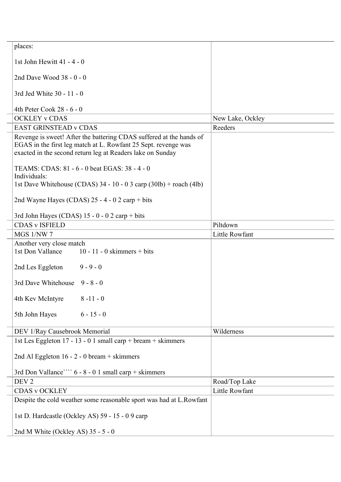| places:                                                             |                  |
|---------------------------------------------------------------------|------------------|
| 1st John Hewitt 41 - 4 - 0                                          |                  |
| 2nd Dave Wood 38 - 0 - 0                                            |                  |
| 3rd Jed White 30 - 11 - 0                                           |                  |
| 4th Peter Cook 28 - 6 - 0                                           |                  |
| <b>OCKLEY v CDAS</b>                                                | New Lake, Ockley |
| <b>EAST GRINSTEAD v CDAS</b>                                        | Reeders          |
| Revenge is sweet! After the battering CDAS suffered at the hands of |                  |
| EGAS in the first leg match at L. Rowfant 25 Sept. revenge was      |                  |
| exacted in the second return leg at Readers lake on Sunday          |                  |
|                                                                     |                  |
| TEAMS: CDAS: 81 - 6 - 0 beat EGAS: 38 - 4 - 0                       |                  |
| Individuals:                                                        |                  |
| 1st Dave Whitehouse (CDAS) $34 - 10 - 03$ carp (30lb) + roach (4lb) |                  |
| 2nd Wayne Hayes (CDAS) $25 - 4 - 0$ 2 carp + bits                   |                  |
|                                                                     |                  |
| 3rd John Hayes (CDAS) $15 - 0 - 0$ 2 carp + bits                    |                  |
| <b>CDAS v ISFIELD</b>                                               | Piltdown         |
| MGS 1/NW 7                                                          | Little Rowfant   |
| Another very close match                                            |                  |
| 1st Don Vallance<br>10 - 11 - 0 skimmers + bits                     |                  |
| $9 - 9 - 0$<br>2nd Les Eggleton                                     |                  |
| 3rd Dave Whitehouse 9 - 8 - 0                                       |                  |
| $8 - 11 - 0$<br>4th Kev McIntyre                                    |                  |
| 5th John Hayes<br>$6 - 15 - 0$                                      |                  |
| DEV 1/Ray Causebrook Memorial                                       | Wilderness       |
| 1st Les Eggleton 17 - 13 - 0 1 small carp + bream + skimmers        |                  |
| 2nd Al Eggleton 16 - 2 - 0 bream + skimmers                         |                  |
| 3rd Don Vallance ``` 6 - 8 - 0 1 small carp + skimmers              |                  |
| DEV <sub>2</sub>                                                    | Road/Top Lake    |
| <b>CDAS v OCKLEY</b>                                                | Little Rowfant   |
| Despite the cold weather some reasonable sport was had at L.Rowfant |                  |
| 1st D. Hardcastle (Ockley AS) 59 - 15 - 09 carp                     |                  |
| 2nd M White (Ockley AS) $35 - 5 - 0$                                |                  |
|                                                                     |                  |